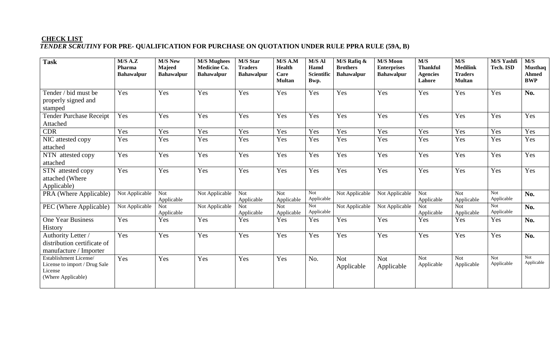## **CHECK LIST**  *TENDER SCRUTINY* **FOR PRE- QUALIFICATION FOR PURCHASE ON QUOTATION UNDER RULE PPRA RULE (59A, B)**

| <b>Task</b>                                                                              | M/S A.Z<br>Pharma<br><b>Bahawalpur</b> | <b>M/S New</b><br>Majeed<br><b>Bahawalpur</b> | <b>M/S Mughees</b><br>Medicine Co.<br><b>Bahawalpur</b> | M/S Star<br><b>Traders</b><br><b>Bahawalpur</b> | $M/S$ A.M<br><b>Health</b><br>Care<br><b>Multan</b> | M/S Al<br>Hamd<br>Scientific<br>Bwp. | $M/S$ Rafiq &<br><b>Brothers</b><br><b>Bahawalpur</b> | <b>M/S Moon</b><br><b>Enterprises</b><br><b>Bahawalpur</b> | $\overline{M/S}$<br><b>Thankful</b><br><b>Agencies</b><br>Lahore | M/S<br><b>Medilink</b><br><b>Traders</b><br><b>Multan</b> | M/S Yashfi<br>Tech. ISD  | M/S<br><b>Musthaq</b><br><b>Ahmed</b><br><b>BWP</b> |
|------------------------------------------------------------------------------------------|----------------------------------------|-----------------------------------------------|---------------------------------------------------------|-------------------------------------------------|-----------------------------------------------------|--------------------------------------|-------------------------------------------------------|------------------------------------------------------------|------------------------------------------------------------------|-----------------------------------------------------------|--------------------------|-----------------------------------------------------|
| Tender / bid must be<br>properly signed and<br>stamped                                   | Yes                                    | Yes                                           | Yes                                                     | Yes                                             | Yes                                                 | Yes                                  | Yes                                                   | Yes                                                        | Yes                                                              | Yes                                                       | Yes                      | No.                                                 |
| <b>Tender Purchase Receipt</b><br>Attached                                               | Yes                                    | Yes                                           | Yes                                                     | Yes                                             | Yes                                                 | Yes                                  | Yes                                                   | Yes                                                        | Yes                                                              | Yes                                                       | Yes                      | Yes                                                 |
| CDR                                                                                      | Yes                                    | Yes                                           | Yes                                                     | Yes                                             | Yes                                                 | Yes                                  | Yes                                                   | Yes                                                        | Yes                                                              | Yes                                                       | Yes                      | Yes                                                 |
| NIC attested copy<br>attached                                                            | Yes                                    | Yes                                           | Yes                                                     | Yes                                             | Yes                                                 | Yes                                  | Yes                                                   | Yes                                                        | Yes                                                              | Yes                                                       | Yes                      | Yes                                                 |
| NTN attested copy<br>attached                                                            | Yes                                    | Yes                                           | Yes                                                     | Yes                                             | Yes                                                 | Yes                                  | Yes                                                   | Yes                                                        | Yes                                                              | Yes                                                       | Yes                      | Yes                                                 |
| STN attested copy<br>attached (Where<br>Applicable)                                      | Yes                                    | Yes                                           | Yes                                                     | Yes                                             | Yes                                                 | Yes                                  | Yes                                                   | Yes                                                        | Yes                                                              | Yes                                                       | Yes                      | Yes                                                 |
| PRA (Where Applicable)                                                                   | Not Applicable                         | <b>Not</b><br>Applicable                      | Not Applicable                                          | Not<br>Applicable                               | <b>Not</b><br>Applicable                            | Not<br>Applicable                    | Not Applicable                                        | Not Applicable                                             | <b>Not</b><br>Applicable                                         | <b>Not</b><br>Applicable                                  | Not<br>Applicable        | No.                                                 |
| PEC (Where Applicable)                                                                   | Not Applicable                         | <b>Not</b><br>Applicable                      | Not Applicable                                          | <b>Not</b><br>Applicable                        | <b>Not</b><br>Applicable                            | <b>Not</b><br>Applicable             | Not Applicable                                        | Not Applicable                                             | Not<br>Applicable                                                | <b>Not</b><br>Applicable                                  | <b>Not</b><br>Applicable | No.                                                 |
| <b>One Year Business</b><br>History                                                      | Yes                                    | Yes                                           | Yes                                                     | Yes                                             | Yes                                                 | Yes                                  | Yes                                                   | Yes                                                        | Yes                                                              | Yes                                                       | Yes                      | No.                                                 |
| Authority Letter /<br>distribution certificate of<br>manufacture / Importer              | Yes                                    | Yes                                           | Yes                                                     | Yes                                             | Yes                                                 | Yes                                  | Yes                                                   | Yes                                                        | Yes                                                              | Yes                                                       | Yes                      | No.                                                 |
| Establishment License/<br>License to import / Drug Sale<br>License<br>(Where Applicable) | Yes                                    | Yes                                           | Yes                                                     | Yes                                             | Yes                                                 | No.                                  | <b>Not</b><br>Applicable                              | <b>Not</b><br>Applicable                                   | $\overline{\text{Not}}$<br>Applicable                            | $\overline{\text{Not}}$<br>Applicable                     | Not<br>Applicable        | Not<br>Applicable                                   |